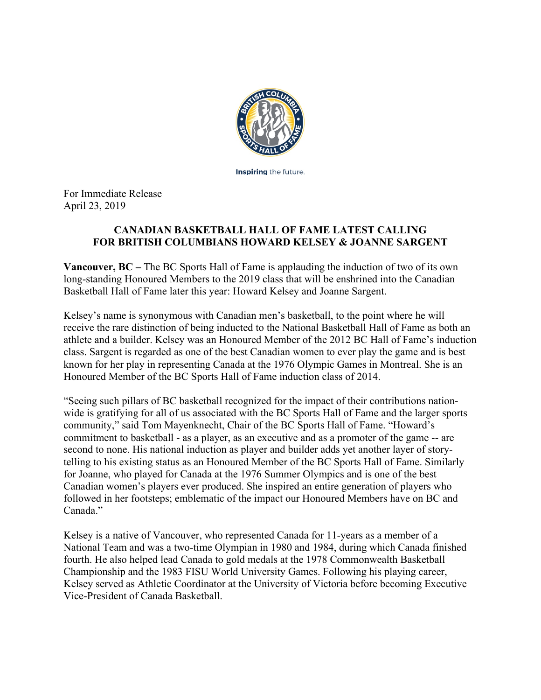

**Inspiring** the future.

For Immediate Release April 23, 2019

## **CANADIAN BASKETBALL HALL OF FAME LATEST CALLING FOR BRITISH COLUMBIANS HOWARD KELSEY & JOANNE SARGENT**

**Vancouver, BC –** The BC Sports Hall of Fame is applauding the induction of two of its own long-standing Honoured Members to the 2019 class that will be enshrined into the Canadian Basketball Hall of Fame later this year: Howard Kelsey and Joanne Sargent.

Kelsey's name is synonymous with Canadian men's basketball, to the point where he will receive the rare distinction of being inducted to the National Basketball Hall of Fame as both an athlete and a builder. Kelsey was an Honoured Member of the 2012 BC Hall of Fame's induction class. Sargent is regarded as one of the best Canadian women to ever play the game and is best known for her play in representing Canada at the 1976 Olympic Games in Montreal. She is an Honoured Member of the BC Sports Hall of Fame induction class of 2014.

"Seeing such pillars of BC basketball recognized for the impact of their contributions nationwide is gratifying for all of us associated with the BC Sports Hall of Fame and the larger sports community," said Tom Mayenknecht, Chair of the BC Sports Hall of Fame. "Howard's commitment to basketball - as a player, as an executive and as a promoter of the game -- are second to none. His national induction as player and builder adds yet another layer of storytelling to his existing status as an Honoured Member of the BC Sports Hall of Fame. Similarly for Joanne, who played for Canada at the 1976 Summer Olympics and is one of the best Canadian women's players ever produced. She inspired an entire generation of players who followed in her footsteps; emblematic of the impact our Honoured Members have on BC and Canada."

Kelsey is a native of Vancouver, who represented Canada for 11-years as a member of a National Team and was a two-time Olympian in 1980 and 1984, during which Canada finished fourth. He also helped lead Canada to gold medals at the 1978 Commonwealth Basketball Championship and the 1983 FISU World University Games. Following his playing career, Kelsey served as Athletic Coordinator at the University of Victoria before becoming Executive Vice-President of Canada Basketball.